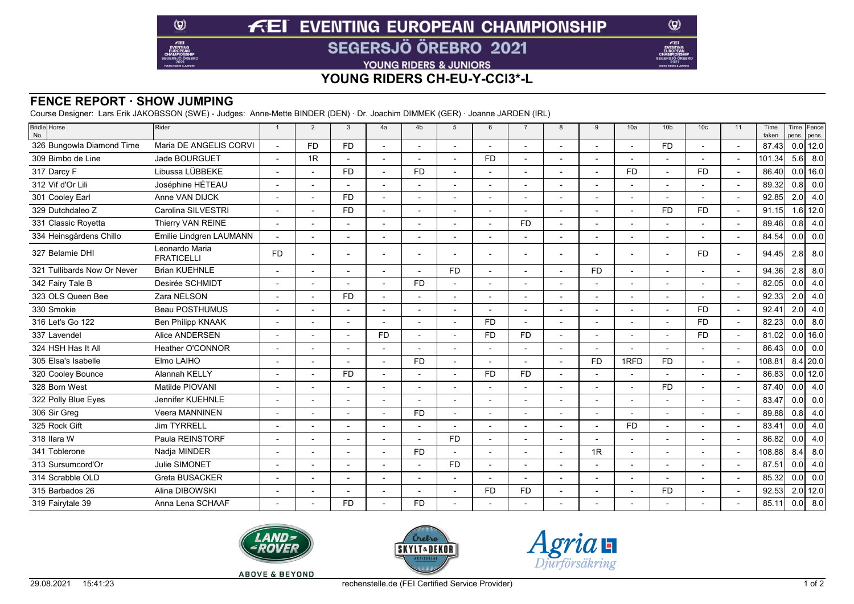# **FEI EVENTING EUROPEAN CHAMPIONSHIP**

**SEGERSJÖ ÖREBRO 2021** 

YOUNG RIDERS & JUNIORS

## **YOUNG RIDERS CH-EU-Y-CCI3\*-L**

### **FENCE REPORT · SHOW JUMPING**

 $\circledcirc$ 

 $E$ EI

Course Designer: Lars Erik JAKOBSSON (SWE) - Judges: Anne-Mette BINDER (DEN) · Dr. Joachim DIMMEK (GER) · Joanne JARDEN (IRL)

| Bridle Horse<br>No.         | Rider                               | $\overline{1}$           | 2              | 3         | 4a        | 4 <sub>b</sub> | 5         | 6         | $\overline{7}$ | 8 | 9              | 10a            | 10 <sub>b</sub> | 10 <sub>c</sub> | 11 | Time<br>taken |     | Time Fence<br>pens. pens. |
|-----------------------------|-------------------------------------|--------------------------|----------------|-----------|-----------|----------------|-----------|-----------|----------------|---|----------------|----------------|-----------------|-----------------|----|---------------|-----|---------------------------|
| 326 Bungowla Diamond Time   | Maria DE ANGELIS CORVI              |                          | F <sub>D</sub> | <b>FD</b> |           |                |           |           |                |   |                |                | <b>FD</b>       |                 |    | 87.43         |     | $0.0$ 12.0                |
| 309 Bimbo de Line           | Jade BOURGUET                       |                          | 1R             |           |           |                |           | <b>FD</b> |                |   |                |                |                 |                 |    | 101.34        | 5.6 | 8.0                       |
| 317 Darcy F                 | Libussa LÜBBEKE                     |                          |                | <b>FD</b> |           | F <sub>D</sub> |           |           |                |   |                | <b>FD</b>      |                 | <b>FD</b>       |    | 86.40         |     | $0.0$ 16.0                |
| 312 Vif d'Or Lili           | Joséphine HÉTEAU                    |                          |                |           |           |                |           |           |                |   |                |                |                 |                 |    | 89.32         | 0.8 | 0.0                       |
| 301 Cooley Earl             | Anne VAN DIJCK                      | $\overline{a}$           |                | <b>FD</b> |           |                |           |           |                |   |                |                |                 |                 |    | 92.85         | 2.0 | 4.0                       |
| 329 Dutchdaleo Z            | Carolina SILVESTRI                  |                          |                | <b>FD</b> |           |                |           |           |                |   |                |                | <b>FD</b>       | <b>FD</b>       |    | 91.15         |     | $1.6$ 12.0                |
| 331 Classic Royetta         | Thierry VAN REINE                   |                          |                |           |           |                |           |           | <b>FD</b>      |   |                |                |                 |                 |    | 89.46         | 0.8 | 4.0                       |
| 334 Heinsgårdens Chillo     | Emilie Lindgren LAUMANN             |                          |                |           |           |                |           |           |                |   |                |                |                 |                 |    | 84.54         | 0.0 | 0.0                       |
| 327 Belamie DHI             | Leonardo Maria<br><b>FRATICELLI</b> | <b>FD</b>                |                |           |           |                |           |           |                |   |                |                |                 | <b>FD</b>       |    | 94.45         | 2.8 | 8.0                       |
| 321 Tullibards Now Or Never | <b>Brian KUEHNLE</b>                | $\overline{a}$           |                |           |           |                | <b>FD</b> |           |                |   | <b>FD</b>      |                |                 |                 |    | 94.36         | 2.8 | 8.0                       |
| 342 Fairy Tale B            | Desirée SCHMIDT                     |                          |                |           |           | F <sub>D</sub> |           |           |                |   |                |                |                 |                 |    | 82.05         | 0.0 | 4.0                       |
| 323 OLS Queen Bee           | Zara NELSON                         | $\overline{a}$           |                | <b>FD</b> |           |                |           |           |                |   |                |                |                 |                 |    | 92.33         | 2.0 | 4.0                       |
| 330 Smokie                  | Beau POSTHUMUS                      |                          |                |           |           |                |           |           |                |   |                |                |                 | <b>FD</b>       |    | 92.41         | 2.0 | 4.0                       |
| 316 Let's Go 122            | <b>Ben Philipp KNAAK</b>            | $\overline{\phantom{a}}$ |                |           |           |                |           | <b>FD</b> |                |   |                |                |                 | <b>FD</b>       |    | 82.23         | 0.0 | 8.0                       |
| 337 Lavendel                | Alice ANDERSEN                      |                          |                |           | <b>FD</b> |                |           | <b>FD</b> | <b>FD</b>      |   |                |                |                 | <b>FD</b>       |    | 81.02         |     | $0.0$ 16.0                |
| 324 HSH Has It All          | Heather O'CONNOR                    |                          |                |           |           |                |           |           |                |   | $\overline{a}$ |                |                 |                 |    | 86.43         | 0.0 | 0.0                       |
| 305 Elsa's Isabelle         | Elmo LAIHO                          |                          |                |           |           | F <sub>D</sub> |           |           |                |   | <b>FD</b>      | 1RFD           | <b>FD</b>       |                 |    | 108.81        |     | $8.4$ 20.0                |
| 320 Cooley Bounce           | Alannah KELLY                       | $\overline{a}$           |                | <b>FD</b> |           |                |           | <b>FD</b> | <b>FD</b>      |   |                |                |                 |                 |    | 86.83         |     | $0.0$ 12.0                |
| 328 Born West               | Matilde PIOVANI                     |                          |                |           |           |                |           |           |                |   |                |                | <b>FD</b>       |                 |    | 87.40         | 0.0 | 4.0                       |
| 322 Polly Blue Eyes         | Jennifer KUEHNLE                    |                          |                |           |           |                |           |           |                |   |                |                |                 |                 |    | 83.47         | 0.0 | 0.0                       |
| 306 Sir Greg                | Veera MANNINEN                      | $\overline{a}$           |                |           |           | F <sub>D</sub> |           |           |                |   |                |                |                 |                 |    | 89.88         | 0.8 | 4.0                       |
| 325 Rock Gift               | <b>Jim TYRRELL</b>                  |                          |                |           |           |                |           |           |                |   |                | F <sub>D</sub> |                 |                 |    | 83.41         | 0.0 | 4.0                       |
| 318 Ilara W                 | Paula REINSTORF                     |                          |                |           |           |                | <b>FD</b> |           |                |   |                |                |                 |                 |    | 86.82         | 0.0 | 4.0                       |
| 341 Toblerone               | Nadja MINDER                        |                          |                |           |           | F <sub>D</sub> |           |           |                |   | 1R             |                |                 |                 |    | 108.88        | 8.4 | 8.0                       |
| 313 Sursumcord'Or           | Julie SIMONET                       |                          |                |           |           |                | <b>FD</b> |           |                |   |                |                |                 |                 |    | 87.51         | 0.0 | 4.0                       |
| 314 Scrabble OLD            | <b>Greta BUSACKER</b>               |                          |                |           |           |                |           |           |                |   |                |                |                 |                 |    | 85.32         | 0.0 | 0.0                       |
| 315 Barbados 26             | Alina DIBOWSKI                      |                          |                |           |           |                |           | <b>FD</b> | FD.            |   |                |                | <b>FD</b>       |                 |    | 92.53         |     | $2.0$ 12.0                |
| 319 Fairytale 39            | Anna Lena SCHAAF                    |                          |                | <b>FD</b> |           | FD.            |           |           |                |   |                |                |                 |                 |    | 85.11         | 0.0 | 8.0                       |
|                             |                                     |                          |                |           |           |                |           |           |                |   |                |                |                 |                 |    |               |     |                           |







 $\circledcirc$ 

**KE** 

**ABOVE & BEYOND**